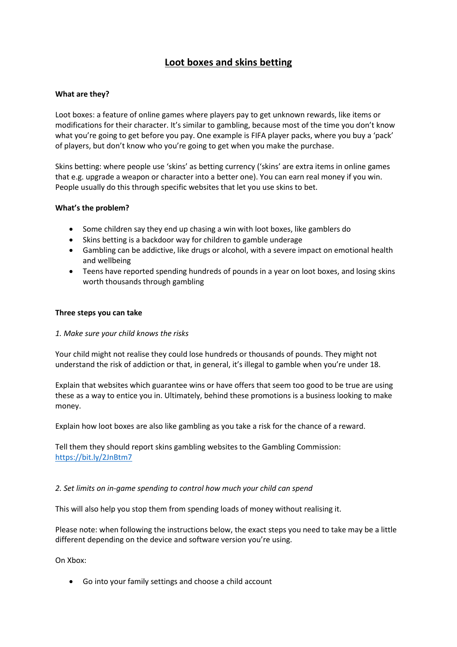# **Loot boxes and skins betting**

## **What are they?**

Loot boxes: a feature of online games where players pay to get unknown rewards, like items or modifications for their character. It's similar to gambling, because most of the time you don't know what you're going to get before you pay. One example is FIFA player packs, where you buy a 'pack' of players, but don't know who you're going to get when you make the purchase.

Skins betting: where people use 'skins' as betting currency ('skins' are extra items in online games that e.g. upgrade a weapon or character into a better one). You can earn real money if you win. People usually do this through specific websites that let you use skins to bet.

### **What's the problem?**

- Some children say they end up chasing a win with loot boxes, like gamblers do
- Skins betting is a backdoor way for children to gamble underage
- Gambling can be addictive, like drugs or alcohol, with a severe impact on emotional health and wellbeing
- Teens have reported spending hundreds of pounds in a year on loot boxes, and losing skins worth thousands through gambling

### **Three steps you can take**

### *1. Make sure your child knows the risks*

Your child might not realise they could lose hundreds or thousands of pounds. They might not understand the risk of addiction or that, in general, it's illegal to gamble when you're under 18.

Explain that websites which guarantee wins or have offers that seem too good to be true are using these as a way to entice you in. Ultimately, behind these promotions is a business looking to make money.

Explain how loot boxes are also like gambling as you take a risk for the chance of a reward.

Tell them they should report skins gambling websites to the Gambling Commission: <https://bit.ly/2JnBtm7>

### *2. Set limits on in-game spending to control how much your child can spend*

This will also help you stop them from spending loads of money without realising it.

Please note: when following the instructions below, the exact steps you need to take may be a little different depending on the device and software version you're using.

On Xbox:

Go into your family settings and choose a child account